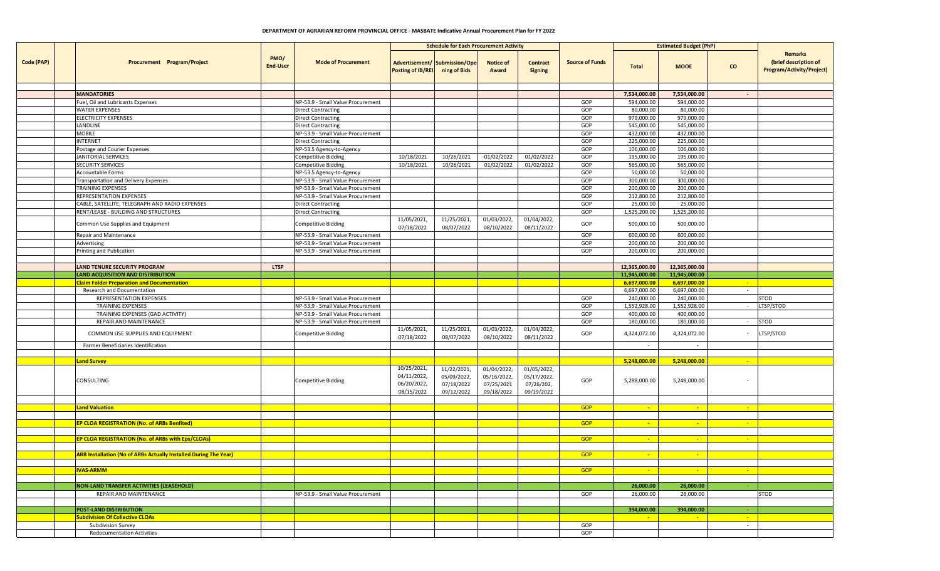## **DEPARTMENT OF AGRARIAN REFORM PROVINCIAL OFFICE - MASBATE Indicative Annual Procurement Plan for FY 2022**

|            |                                                                         |                         |                                   | <b>Schedule for Each Procurement Activity</b>           |                                                        |                                                        |                                                        |                        | <b>Estimated Budget (PhP)</b> |                |                           |                                                                      |
|------------|-------------------------------------------------------------------------|-------------------------|-----------------------------------|---------------------------------------------------------|--------------------------------------------------------|--------------------------------------------------------|--------------------------------------------------------|------------------------|-------------------------------|----------------|---------------------------|----------------------------------------------------------------------|
| Code (PAP) | Procurement Program/Project                                             | PMO/<br><b>End-User</b> | <b>Mode of Procurement</b>        | Posting of IB/REI ning of Bids                          | Advertisement/ Submission/Ope                          | <b>Notice of</b><br>Award                              | <b>Contract</b><br><b>Signing</b>                      | <b>Source of Funds</b> | <b>Total</b>                  | <b>MOOE</b>    | $\mathbf{co}$             | Remarks<br>(brief description of<br><b>Program/Activity/Project)</b> |
|            |                                                                         |                         |                                   |                                                         |                                                        |                                                        |                                                        |                        |                               |                |                           |                                                                      |
|            | <b>MANDATORIES</b>                                                      |                         |                                   |                                                         |                                                        |                                                        |                                                        |                        | 7,534,000.00                  | 7,534,000.00   | $\sim$                    |                                                                      |
|            | Fuel, Oil and Lubricants Expenses                                       |                         | NP-53.9 - Small Value Procurement |                                                         |                                                        |                                                        |                                                        | GOP                    | 594,000.00                    | 594,000.00     |                           |                                                                      |
|            | <b>WATER EXPENSES</b>                                                   |                         | <b>Direct Contracting</b>         |                                                         |                                                        |                                                        |                                                        | GOP                    | 80,000.00                     | 80,000.00      |                           |                                                                      |
|            | <b>ELECTRICITY EXPENSES</b>                                             |                         | <b>Direct Contracting</b>         |                                                         |                                                        |                                                        |                                                        | GOP                    | 979,000.00                    | 979,000.00     |                           |                                                                      |
|            | LANDLINE                                                                |                         | <b>Direct Contracting</b>         |                                                         |                                                        |                                                        |                                                        | GOP                    | 545,000.00                    | 545,000.00     |                           |                                                                      |
|            | MOBILE                                                                  |                         | NP-53.9 - Small Value Procurement |                                                         |                                                        |                                                        |                                                        | GOP                    | 432,000.00                    | 432,000.00     |                           |                                                                      |
|            | <b>INTERNET</b>                                                         |                         | <b>Direct Contracting</b>         |                                                         |                                                        |                                                        |                                                        | GOP                    | 225,000.00                    | 225,000.00     |                           |                                                                      |
|            | Postage and Courier Expenses                                            |                         | NP-53.5 Agency-to-Agency          |                                                         |                                                        |                                                        |                                                        | GOP                    | 106,000.00                    | 106,000.00     |                           |                                                                      |
|            | JANITORIAL SERVICES                                                     |                         | <b>Competitive Bidding</b>        | 10/18/2021                                              | 10/26/2021                                             | 01/02/2022                                             | 01/02/2022                                             | GOP                    | 195,000.00                    | 195,000.00     |                           |                                                                      |
|            | <b>SECURITY SERVICES</b>                                                |                         | <b>Competitive Bidding</b>        | 10/18/2021                                              | 10/26/2021                                             | 01/02/2022                                             | 01/02/2022                                             | GOP                    | 565,000.00                    | 565,000.00     |                           |                                                                      |
|            | Accountable Forms                                                       |                         | NP-53.5 Agency-to-Agency          |                                                         |                                                        |                                                        |                                                        | GOP                    | 50,000.00                     | 50,000.00      |                           |                                                                      |
|            | <b>Transportation and Delivery Expenses</b>                             |                         | NP-53.9 - Small Value Procurement |                                                         |                                                        |                                                        |                                                        | GOP                    | 300,000.00                    | 300,000.00     |                           |                                                                      |
|            | TRAINING EXPENSES                                                       |                         | NP-53.9 - Small Value Procurement |                                                         |                                                        |                                                        |                                                        | GOP                    | 200,000.00                    | 200,000.00     |                           |                                                                      |
|            | REPRESENTATION EXPENSES                                                 |                         | NP-53.9 - Small Value Procurement |                                                         |                                                        |                                                        |                                                        | GOP                    | 212,800.00                    | 212,800.00     |                           |                                                                      |
|            | CABLE, SATELLITE, TELEGRAPH AND RADIO EXPENSES                          |                         | <b>Direct Contracting</b>         |                                                         |                                                        |                                                        |                                                        | GOP                    | 25,000.00                     | 25,000.00      |                           |                                                                      |
|            | RENT/LEASE - BUILDING AND STRUCTURES                                    |                         | <b>Direct Contracting</b>         |                                                         |                                                        |                                                        |                                                        | GOP                    | 1,525,200.00                  | 1,525,200.00   |                           |                                                                      |
|            | Common Use Supplies and Equipment                                       |                         | <b>Competitive Bidding</b>        | 11/05/2021,<br>07/18/2022                               | 11/25/2021,<br>08/07/2022                              | 01/03/2022,<br>08/10/2022                              | 01/04/2022,<br>08/11/2022                              | GOP                    | 500,000.00                    | 500,000.00     |                           |                                                                      |
|            | Repair and Maintenance                                                  |                         | NP-53.9 - Small Value Procurement |                                                         |                                                        |                                                        |                                                        | GOP                    | 600,000.00                    | 600,000.00     |                           |                                                                      |
|            | Advertising                                                             |                         | NP-53.9 - Small Value Procurement |                                                         |                                                        |                                                        |                                                        | GOP                    | 200,000.00                    | 200,000.00     |                           |                                                                      |
|            | Printing and Publication                                                |                         | NP-53.9 - Small Value Procurement |                                                         |                                                        |                                                        |                                                        | GOP                    | 200,000.00                    | 200,000.00     |                           |                                                                      |
|            |                                                                         |                         |                                   |                                                         |                                                        |                                                        |                                                        |                        |                               |                |                           |                                                                      |
|            | <b>LAND TENURE SECURITY PROGRAM</b>                                     | <b>LTSP</b>             |                                   |                                                         |                                                        |                                                        |                                                        |                        | 12,365,000.00                 | 12,365,000.00  |                           |                                                                      |
|            | <b>LAND ACQUISITION AND DISTRIBUTION</b>                                |                         |                                   |                                                         |                                                        |                                                        |                                                        |                        | 11,945,000.00                 | 11,945,000.00  |                           |                                                                      |
|            | <b>Claim Folder Preparation and Documentation</b>                       |                         |                                   |                                                         |                                                        |                                                        |                                                        |                        | 6,697,000.00                  | 6,697,000.00   | $\sim$ $ \sim$            |                                                                      |
|            | Research and Documentation                                              |                         |                                   |                                                         |                                                        |                                                        |                                                        |                        | 6,697,000.00                  | 6,697,000.00   | $\sim$                    |                                                                      |
|            | REPRESENTATION EXPENSES                                                 |                         | NP-53.9 - Small Value Procurement |                                                         |                                                        |                                                        |                                                        | GOP                    | 240,000.00                    | 240,000.00     |                           | STOD                                                                 |
|            | <b>TRAINING EXPENSES</b>                                                |                         | NP-53.9 - Small Value Procurement |                                                         |                                                        |                                                        |                                                        | GOP                    | 1,552,928.00                  | 1,552,928.00   |                           | LTSP/STOD                                                            |
|            | TRAINING EXPENSES (GAD ACTIVITY)                                        |                         | NP-53.9 - Small Value Procurement |                                                         |                                                        |                                                        |                                                        | GOP                    | 400,000.00                    | 400,000.00     |                           |                                                                      |
|            | REPAIR AND MAINTENANCE                                                  |                         | NP-53.9 - Small Value Procurement |                                                         |                                                        |                                                        |                                                        | GOP                    | 180,000.00                    | 180,000.00     | $\sim$                    | <b>STOD</b>                                                          |
|            | COMMON USE SUPPLIES AND EQUIPMENT                                       |                         | Competitive Bidding               | 11/05/2021,<br>07/18/2022                               | 11/25/2021,<br>08/07/2022                              | 01/03/2022,<br>08/10/2022                              | 01/04/2022,<br>08/11/2022                              | GOP                    | 4,324,072.00                  | 4,324,072.00   |                           | LTSP/STOD                                                            |
|            | Farmer Beneficiaries Identification                                     |                         |                                   |                                                         |                                                        |                                                        |                                                        |                        | $\sim$                        | $\sim$         |                           |                                                                      |
|            |                                                                         |                         |                                   |                                                         |                                                        |                                                        |                                                        |                        |                               |                |                           |                                                                      |
|            | L <mark>and Survey</mark>                                               |                         |                                   |                                                         |                                                        |                                                        |                                                        |                        | 5,248,000.00                  | 5,248,000.00   |                           |                                                                      |
|            | CONSULTING                                                              |                         | <b>Competitive Bidding</b>        | 10/25/2021,<br>04/11/2022,<br>06/20/2022,<br>08/15/2022 | 11/22/2021,<br>05/09/2022,<br>07/18/2022<br>09/12/2022 | 01/04/2022,<br>05/16/2022,<br>07/25/2021<br>09/18/2022 | 01/05/2022,<br>05/17/2022,<br>07/26/202,<br>09/19/2022 | GOP                    | 5,288,000.00                  | 5,248,000.00   |                           |                                                                      |
|            |                                                                         |                         |                                   |                                                         |                                                        |                                                        |                                                        |                        |                               |                |                           |                                                                      |
|            | <b>Land Valuation</b>                                                   |                         |                                   |                                                         |                                                        |                                                        |                                                        | <b>GOP</b>             | $\sim$                        | $\sim$         |                           |                                                                      |
|            |                                                                         |                         |                                   |                                                         |                                                        |                                                        |                                                        |                        |                               |                |                           |                                                                      |
|            | EP CLOA REGISTRATION (No. of ARBs Benfited)                             |                         |                                   |                                                         |                                                        |                                                        |                                                        | <b>GOP</b>             | $\sim$                        | $\sim$         | <b>Page</b>               |                                                                      |
|            |                                                                         |                         |                                   |                                                         |                                                        |                                                        |                                                        |                        |                               |                |                           |                                                                      |
|            | EP CLOA REGISTRATION (No. of ARBs with Eps/CLOAs)                       |                         |                                   |                                                         |                                                        |                                                        |                                                        | <b>GOP</b>             | $\sim$                        | <b>Fall</b>    | <b>COL</b>                |                                                                      |
|            |                                                                         |                         |                                   |                                                         |                                                        |                                                        |                                                        |                        |                               |                |                           |                                                                      |
|            | <b>ARB Installation (No of ARBs Actually Installed During The Year)</b> |                         |                                   |                                                         |                                                        |                                                        |                                                        | <b>GOP</b>             | $\sim$                        | $\blacksquare$ |                           |                                                                      |
|            | <b>IVAS-ARMM</b>                                                        |                         |                                   |                                                         |                                                        |                                                        |                                                        | <b>GOP</b>             | $\sim$                        | $\sim$ $-$     | $\sim$                    |                                                                      |
|            |                                                                         |                         |                                   |                                                         |                                                        |                                                        |                                                        |                        |                               |                |                           |                                                                      |
|            | <b>NON-LAND TRANSFER ACTIVITIES (LEASEHOLD)</b>                         |                         |                                   |                                                         |                                                        |                                                        |                                                        |                        | 26,000.00                     | 26,000.00      |                           |                                                                      |
|            | <b>REPAIR AND MAINTENANCE</b>                                           |                         | NP-53.9 - Small Value Procurement |                                                         |                                                        |                                                        |                                                        | GOP                    | 26,000.00                     | 26,000.00      |                           | <b>STOD</b>                                                          |
|            |                                                                         |                         |                                   |                                                         |                                                        |                                                        |                                                        |                        |                               |                |                           |                                                                      |
|            | <b>POST-LAND DISTRIBUTION</b>                                           |                         |                                   |                                                         |                                                        |                                                        |                                                        |                        | 394,000.00                    | 394,000.00     |                           |                                                                      |
|            | <b>Subdivision Of Collective CLOAs</b>                                  |                         |                                   |                                                         |                                                        |                                                        |                                                        |                        |                               |                |                           |                                                                      |
|            |                                                                         |                         |                                   |                                                         |                                                        |                                                        |                                                        |                        | <b><i><u>Parts</u></i></b>    | <b>Fall</b>    | <b><i><u>Part</u></i></b> |                                                                      |
|            | <b>Subdivision Survey</b><br><b>Redocumentation Activities</b>          |                         |                                   |                                                         |                                                        |                                                        |                                                        | GOP<br>GOP             |                               |                | $\sim$                    |                                                                      |
|            |                                                                         |                         |                                   |                                                         |                                                        |                                                        |                                                        |                        |                               |                |                           |                                                                      |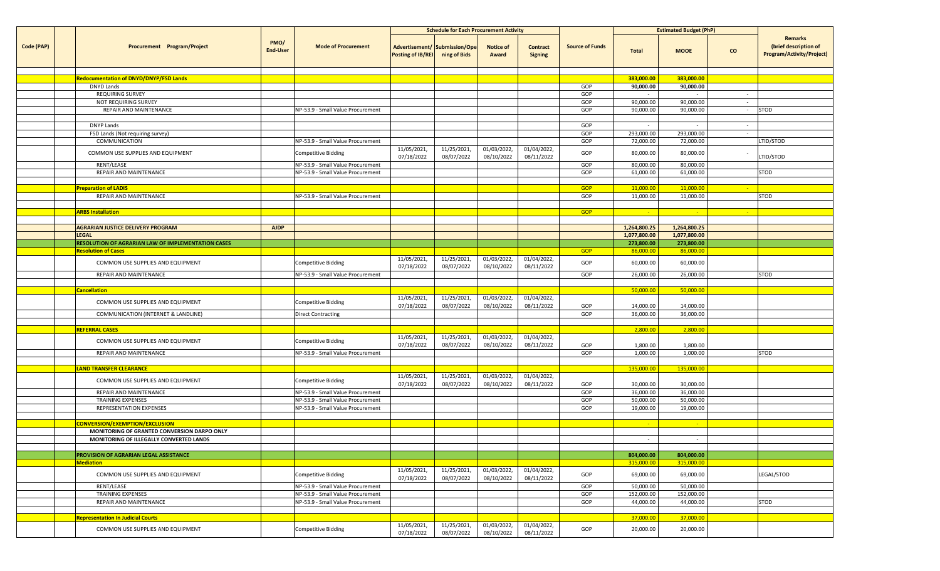|            |                                                    |                         |                                                                        | <b>Schedule for Each Procurement Activity</b>             |                           |                           |                                   | <b>Estimated Budget (PhP)</b> |                         |                         |                  |                                                                      |
|------------|----------------------------------------------------|-------------------------|------------------------------------------------------------------------|-----------------------------------------------------------|---------------------------|---------------------------|-----------------------------------|-------------------------------|-------------------------|-------------------------|------------------|----------------------------------------------------------------------|
| Code (PAP) | Procurement Program/Project                        | PMO/<br><b>End-User</b> | <b>Mode of Procurement</b>                                             | Advertisement/ Submission/Ope<br><b>Posting of IB/REI</b> | ning of Bids              | <b>Notice of</b><br>Award | <b>Contract</b><br><b>Signing</b> | <b>Source of Funds</b>        | <b>Total</b>            | <b>MOOE</b>             | $\mathbf{co}$    | Remarks<br>(brief description of<br><b>Program/Activity/Project)</b> |
|            |                                                    |                         |                                                                        |                                                           |                           |                           |                                   |                               |                         |                         |                  |                                                                      |
|            | <b>Redocumentation of DNYD/DNYP/FSD Lands</b>      |                         |                                                                        |                                                           |                           |                           |                                   |                               | 383,000.00              | 383,000.00              |                  |                                                                      |
|            | <b>DNYD Lands</b>                                  |                         |                                                                        |                                                           |                           |                           |                                   | GOP                           | 90,000.00               | 90,000.00               |                  |                                                                      |
|            | <b>REQUIRING SURVEY</b><br>NOT REQUIRING SURVEY    |                         |                                                                        |                                                           |                           |                           |                                   | GOP<br>GOP                    | 90,000.00               | $\sim$<br>90,000.00     | $\sim$<br>$\sim$ |                                                                      |
|            | REPAIR AND MAINTENANCE                             |                         | NP-53.9 - Small Value Procurement                                      |                                                           |                           |                           |                                   | GOP                           | 90,000.00               | 90,000.00               | $\sim$           | STOD                                                                 |
|            |                                                    |                         |                                                                        |                                                           |                           |                           |                                   |                               |                         |                         |                  |                                                                      |
|            | DNYP Lands                                         |                         |                                                                        |                                                           |                           |                           |                                   | GOP                           |                         | $\sim$                  | $\sim$           |                                                                      |
|            | FSD Lands (Not requiring survey)                   |                         |                                                                        |                                                           |                           |                           |                                   | GOP                           | 293,000.00              | 293,000.00              | $\sim$           |                                                                      |
|            | COMMUNICATION                                      |                         | NP-53.9 - Small Value Procurement                                      |                                                           |                           |                           |                                   | GOP                           | 72,000.00               | 72,000.00               |                  | LTID/STOD                                                            |
|            | COMMON USE SUPPLIES AND EQUIPMENT                  |                         | Competitive Bidding                                                    | 11/05/2021,<br>07/18/2022                                 | 11/25/2021,<br>08/07/2022 | 01/03/2022,<br>08/10/2022 | 01/04/2022,<br>08/11/2022         | GOP                           | 80,000.00               | 80,000.00               |                  | LTID/STOD                                                            |
|            | RENT/LEASE                                         |                         | NP-53.9 - Small Value Procurement                                      |                                                           |                           |                           |                                   | GOP                           | 80,000.00               | 80,000.00               |                  |                                                                      |
|            | REPAIR AND MAINTENANCE                             |                         | NP-53.9 - Small Value Procurement                                      |                                                           |                           |                           |                                   | GOP                           | 61,000.00               | 61,000.00               |                  | STOD                                                                 |
|            |                                                    |                         |                                                                        |                                                           |                           |                           |                                   |                               |                         |                         |                  |                                                                      |
|            | <b>Preparation of LADIS</b>                        |                         |                                                                        |                                                           |                           |                           |                                   | <b>GOP</b>                    | 11,000.00               | 11,000.00               | $\sim$           |                                                                      |
|            | REPAIR AND MAINTENANCE                             |                         | NP-53.9 - Small Value Procurement                                      |                                                           |                           |                           |                                   | GOP                           | 11,000.00               | 11,000.00               |                  | STOD                                                                 |
|            | <b>ARBS Installation</b>                           |                         |                                                                        |                                                           |                           |                           |                                   | <b>GOP</b>                    | - 1                     | <b>SAL</b>              | $\sim$ $\sim$    |                                                                      |
|            |                                                    |                         |                                                                        |                                                           |                           |                           |                                   |                               |                         |                         |                  |                                                                      |
|            | <b>AGRARIAN JUSTICE DELIVERY PROGRAM</b>           | <b>AJDP</b>             |                                                                        |                                                           |                           |                           |                                   |                               | 1,264,800.25            | 1,264,800.25            |                  |                                                                      |
|            | <b>LEGAL</b>                                       |                         |                                                                        |                                                           |                           |                           |                                   |                               | 1,077,800.00            | 1,077,800.00            |                  |                                                                      |
|            | RESOLUTION OF AGRARIAN LAW OF IMPLEMENTATION CASES |                         |                                                                        |                                                           |                           |                           |                                   |                               | 273,800.00              | 273,800.00              |                  |                                                                      |
|            | <b>Resolution of Cases</b>                         |                         |                                                                        |                                                           |                           |                           |                                   | <b>GOP</b>                    | 86,000.00               | 86,000.00               |                  |                                                                      |
|            | COMMON USE SUPPLIES AND EQUIPMENT                  |                         | Competitive Bidding                                                    | 11/05/2021,<br>07/18/2022                                 | 11/25/2021,<br>08/07/2022 | 01/03/2022,<br>08/10/2022 | 01/04/2022,<br>08/11/2022         | GOP                           | 60,000.00               | 60,000.00               |                  |                                                                      |
|            | REPAIR AND MAINTENANCE                             |                         | NP-53.9 - Small Value Procurement                                      |                                                           |                           |                           |                                   | GOP                           | 26,000.00               | 26,000.00               |                  | STOD                                                                 |
|            |                                                    |                         |                                                                        |                                                           |                           |                           |                                   |                               |                         |                         |                  |                                                                      |
|            | <b>Cancellation</b>                                |                         |                                                                        |                                                           |                           |                           |                                   |                               | 50,000.00               | 50,000.00               |                  |                                                                      |
|            | COMMON USE SUPPLIES AND EQUIPMENT                  |                         | Competitive Bidding                                                    | 11/05/2021,<br>07/18/2022                                 | 11/25/2021,<br>08/07/2022 | 01/03/2022,<br>08/10/2022 | 01/04/2022,<br>08/11/2022         | GOP                           | 14,000.00               | 14,000.00               |                  |                                                                      |
|            | COMMUNICATION (INTERNET & LANDLINE)                |                         | <b>Direct Contracting</b>                                              |                                                           |                           |                           |                                   | GOP                           | 36,000.00               | 36,000.00               |                  |                                                                      |
|            |                                                    |                         |                                                                        |                                                           |                           |                           |                                   |                               | 2,800.00                |                         |                  |                                                                      |
|            | <b>REFERRAL CASES</b>                              |                         |                                                                        | 11/05/2021,                                               | 11/25/2021,               | 01/03/2022,               | 01/04/2022,                       |                               |                         | 2,800.00                |                  |                                                                      |
|            | COMMON USE SUPPLIES AND EQUIPMENT                  |                         | Competitive Bidding                                                    | 07/18/2022                                                | 08/07/2022                | 08/10/2022                | 08/11/2022                        | GOP                           | 1,800.00                | 1,800.00                |                  |                                                                      |
|            | REPAIR AND MAINTENANCE                             |                         | NP-53.9 - Small Value Procurement                                      |                                                           |                           |                           |                                   | GOP                           | 1,000.00                | 1,000.00                |                  | STOD                                                                 |
|            |                                                    |                         |                                                                        |                                                           |                           |                           |                                   |                               |                         |                         |                  |                                                                      |
|            | <b>LAND TRANSFER CLEARANCE</b>                     |                         |                                                                        |                                                           |                           |                           |                                   |                               | 135,000.00              | 135,000.00              |                  |                                                                      |
|            | COMMON USE SUPPLIES AND EQUIPMENT                  |                         | Competitive Bidding                                                    | 11/05/2021,                                               | 11/25/2021,               | 01/03/2022,               | 01/04/2022,                       |                               |                         |                         |                  |                                                                      |
|            | REPAIR AND MAINTENANCE                             |                         |                                                                        | 07/18/2022                                                | 08/07/2022                | 08/10/2022                | 08/11/2022                        | GOP<br>GOP                    | 30,000.00<br>36,000.00  | 30,000.00<br>36,000.00  |                  |                                                                      |
|            | <b>TRAINING EXPENSES</b>                           |                         | NP-53.9 - Small Value Procurement<br>NP-53.9 - Small Value Procurement |                                                           |                           |                           |                                   | GOP                           | 50,000.00               | 50,000.00               |                  |                                                                      |
|            | REPRESENTATION EXPENSES                            |                         | NP-53.9 - Small Value Procurement                                      |                                                           |                           |                           |                                   | GOP                           | 19,000.00               | 19,000.00               |                  |                                                                      |
|            |                                                    |                         |                                                                        |                                                           |                           |                           |                                   |                               |                         |                         |                  |                                                                      |
|            | CONVERSION/EXEMPTION/EXCLUSION                     |                         |                                                                        |                                                           |                           |                           |                                   |                               |                         | <b>SALE</b>             |                  |                                                                      |
|            | MONITORING OF GRANTED CONVERSION DARPO ONLY        |                         |                                                                        |                                                           |                           |                           |                                   |                               |                         |                         |                  |                                                                      |
|            | MONITORING OF ILLEGALLY CONVERTED LANDS            |                         |                                                                        |                                                           |                           |                           |                                   |                               | $\sim$                  | $\sim$                  |                  |                                                                      |
|            |                                                    |                         |                                                                        |                                                           |                           |                           |                                   |                               |                         |                         |                  |                                                                      |
|            | PROVISION OF AGRARIAN LEGAL ASSISTANCE             |                         |                                                                        |                                                           |                           |                           |                                   |                               | 804,000.00              | 804,000.00              |                  |                                                                      |
|            | <b>Mediation</b>                                   |                         |                                                                        | 11/05/2021,                                               | 11/25/2021,               | 01/03/2022,               | 01/04/2022,                       |                               | 315,000.00              | 315,000.00              |                  |                                                                      |
|            | COMMON USE SUPPLIES AND EQUIPMENT                  |                         | Competitive Bidding                                                    | 07/18/2022                                                | 08/07/2022                | 08/10/2022                | 08/11/2022                        | GOP                           | 69,000.00               | 69,000.00               |                  | LEGAL/STOD                                                           |
|            | RENT/LEASE                                         |                         | NP-53.9 - Small Value Procurement                                      |                                                           |                           |                           |                                   | GOP                           | 50,000.00               | 50,000.00               |                  |                                                                      |
|            | TRAINING EXPENSES<br>REPAIR AND MAINTENANCE        |                         | NP-53.9 - Small Value Procurement<br>NP-53.9 - Small Value Procurement |                                                           |                           |                           |                                   | GOP<br>GOP                    | 152,000.00<br>44,000.00 | 152,000.00<br>44,000.00 |                  | STOD                                                                 |
|            |                                                    |                         |                                                                        |                                                           |                           |                           |                                   |                               |                         |                         |                  |                                                                      |
|            | <b>Representation In Judicial Courts</b>           |                         |                                                                        |                                                           |                           |                           |                                   |                               | 37,000.00               | 37,000.00               |                  |                                                                      |
|            | COMMON USE SUPPLIES AND EQUIPMENT                  |                         | Competitive Bidding                                                    | 11/05/2021,<br>07/18/2022                                 | 11/25/2021,<br>08/07/2022 | 01/03/2022,<br>08/10/2022 | 01/04/2022,<br>08/11/2022         | GOP                           | 20,000.00               | 20,000.00               |                  |                                                                      |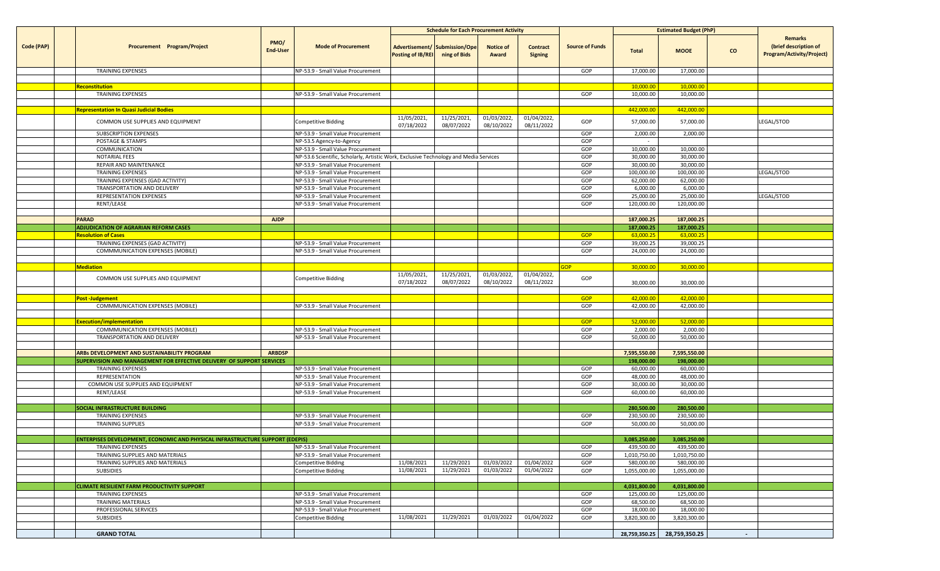|            |                                                                                      |                         |                                                                                       | <b>Schedule for Each Procurement Activity</b>             |                           |                           |                                   |                        | <b>Estimated Budget (PhP)</b> |                         |           |                                                               |
|------------|--------------------------------------------------------------------------------------|-------------------------|---------------------------------------------------------------------------------------|-----------------------------------------------------------|---------------------------|---------------------------|-----------------------------------|------------------------|-------------------------------|-------------------------|-----------|---------------------------------------------------------------|
| Code (PAP) | Procurement Program/Project                                                          | PMO/<br><b>End-User</b> | <b>Mode of Procurement</b>                                                            | Advertisement/ Submission/Ope<br><b>Posting of IB/REI</b> | ning of Bids              | <b>Notice of</b><br>Award | <b>Contract</b><br><b>Signing</b> | <b>Source of Funds</b> | <b>Total</b>                  | <b>MOOE</b>             | <b>CO</b> | Remarks<br>(brief description of<br>Program/Activity/Project) |
|            | <b>TRAINING EXPENSES</b>                                                             |                         | NP-53.9 - Small Value Procurement                                                     |                                                           |                           |                           |                                   | GOP                    | 17,000.00                     | 17,000.00               |           |                                                               |
|            |                                                                                      |                         |                                                                                       |                                                           |                           |                           |                                   |                        |                               |                         |           |                                                               |
|            | <mark>Reconstitution</mark>                                                          |                         |                                                                                       |                                                           |                           |                           |                                   |                        | 10,000.0                      | 10,000.00               |           |                                                               |
|            | <b>TRAINING EXPENSES</b>                                                             |                         | NP-53.9 - Small Value Procurement                                                     |                                                           |                           |                           |                                   | GOP                    | 10,000.00                     | 10,000.00               |           |                                                               |
|            |                                                                                      |                         |                                                                                       |                                                           |                           |                           |                                   |                        |                               |                         |           |                                                               |
|            | <b>Representation In Quasi Judicial Bodies</b>                                       |                         |                                                                                       | 11/05/2021,                                               | 11/25/2021,               | 01/03/2022,               | 01/04/2022,                       |                        | 442,000.00                    | 442,000.00              |           |                                                               |
|            | COMMON USE SUPPLIES AND EQUIPMENT                                                    |                         | Competitive Bidding                                                                   | 07/18/2022                                                | 08/07/2022                | 08/10/2022                | 08/11/2022                        | GOP                    | 57,000.00                     | 57,000.00               |           | LEGAL/STOD                                                    |
|            | SUBSCRIPTION EXPENSES                                                                |                         | NP-53.9 - Small Value Procurement                                                     |                                                           |                           |                           |                                   | GOP                    | 2,000.00                      | 2,000.00                |           |                                                               |
|            | POSTAGE & STAMPS                                                                     |                         | NP-53.5 Agency-to-Agency                                                              |                                                           |                           |                           |                                   | GOP                    | $\sim$                        |                         |           |                                                               |
|            | COMMUNICATION                                                                        |                         | NP-53.9 - Small Value Procurement                                                     |                                                           |                           |                           |                                   | GOP                    | 10,000.00                     | 10,000.00               |           |                                                               |
|            | NOTARIAL FEES                                                                        |                         | NP-53.6 Scientific, Scholarly, Artistic Work, Exclusive Technology and Media Services |                                                           |                           |                           |                                   | GOP                    | 30,000.00                     | 30,000.00               |           |                                                               |
|            | REPAIR AND MAINTENANCE<br><b>TRAINING EXPENSES</b>                                   |                         | NP-53.9 - Small Value Procurement                                                     |                                                           |                           |                           |                                   | GOP<br>GOP             | 30,000.00<br>100,000.00       | 30,000.00<br>100,000.00 |           | LEGAL/STOD                                                    |
|            | TRAINING EXPENSES (GAD ACTIVITY)                                                     |                         | NP-53.9 - Small Value Procurement<br>NP-53.9 - Small Value Procurement                |                                                           |                           |                           |                                   | GOP                    | 62,000.00                     | 62,000.00               |           |                                                               |
|            | TRANSPORTATION AND DELIVERY                                                          |                         | NP-53.9 - Small Value Procurement                                                     |                                                           |                           |                           |                                   | GOP                    | 6,000.00                      | 6,000.00                |           |                                                               |
|            | REPRESENTATION EXPENSES                                                              |                         | NP-53.9 - Small Value Procurement                                                     |                                                           |                           |                           |                                   | GOP                    | 25,000.00                     | 25,000.00               |           | LEGAL/STOD                                                    |
|            | RENT/LEASE                                                                           |                         | NP-53.9 - Small Value Procurement                                                     |                                                           |                           |                           |                                   | GOP                    | 120,000.00                    | 120,000.00              |           |                                                               |
|            |                                                                                      |                         |                                                                                       |                                                           |                           |                           |                                   |                        |                               |                         |           |                                                               |
|            | <b>PARAD</b>                                                                         | <b>AJDP</b>             |                                                                                       |                                                           |                           |                           |                                   |                        | 187,000.25                    | 187,000.25              |           |                                                               |
|            | ADJUDICATION OF AGRARIAN REFORM CASES                                                |                         |                                                                                       |                                                           |                           |                           |                                   |                        | 187,000.25                    | 187,000.25              |           |                                                               |
|            | <b>Resolution of Cases</b>                                                           |                         |                                                                                       |                                                           |                           |                           |                                   | <b>GOP</b>             | 63,000.25                     | 63,000.25               |           |                                                               |
|            | TRAINING EXPENSES (GAD ACTIVITY)                                                     |                         | NP-53.9 - Small Value Procurement                                                     |                                                           |                           |                           |                                   | GOP                    | 39,000.25                     | 39,000.25               |           |                                                               |
|            | COMMMUNICATION EXPENSES (MOBILE)                                                     |                         | NP-53.9 - Small Value Procurement                                                     |                                                           |                           |                           |                                   | GOP                    | 24,000.00                     | 24,000.00               |           |                                                               |
|            |                                                                                      |                         |                                                                                       |                                                           |                           |                           |                                   |                        |                               |                         |           |                                                               |
|            | <b>Mediation</b>                                                                     |                         |                                                                                       |                                                           |                           |                           |                                   | <b>GOP</b>             | 30,000.00                     | 30,000.00               |           |                                                               |
|            | COMMON USE SUPPLIES AND EQUIPMENT                                                    |                         | Competitive Bidding                                                                   | 11/05/2021,<br>07/18/2022                                 | 11/25/2021,<br>08/07/2022 | 01/03/2022,<br>08/10/2022 | 01/04/2022,<br>08/11/2022         | GOP                    | 30,000.00                     | 30,000.00               |           |                                                               |
|            |                                                                                      |                         |                                                                                       |                                                           |                           |                           |                                   |                        |                               |                         |           |                                                               |
|            | <b>Post-Judgement</b>                                                                |                         |                                                                                       |                                                           |                           |                           |                                   | <b>GOP</b>             | 42,000.00                     | 42,000.00               |           |                                                               |
|            | COMMMUNICATION EXPENSES (MOBILE)                                                     |                         | NP-53.9 - Small Value Procurement                                                     |                                                           |                           |                           |                                   | GOP                    | 42,000.00                     | 42,000.00               |           |                                                               |
|            |                                                                                      |                         |                                                                                       |                                                           |                           |                           |                                   |                        |                               |                         |           |                                                               |
|            | <b>Execution/implementation</b>                                                      |                         |                                                                                       |                                                           |                           |                           |                                   | <b>GOP</b>             | 52,000.00                     | 52,000.00               |           |                                                               |
|            | COMMMUNICATION EXPENSES (MOBILE)                                                     |                         | NP-53.9 - Small Value Procurement                                                     |                                                           |                           |                           |                                   | GOP                    | 2,000.00                      | 2,000.00                |           |                                                               |
|            | TRANSPORTATION AND DELIVERY                                                          |                         | NP-53.9 - Small Value Procurement                                                     |                                                           |                           |                           |                                   | GOP                    | 50,000.00                     | 50,000.00               |           |                                                               |
|            | ARBs DEVELOPMENT AND SUSTAINABILITY PROGRAM                                          | <b>ARBDSP</b>           |                                                                                       |                                                           |                           |                           |                                   |                        | 7,595,550.00                  | 7,595,550.00            |           |                                                               |
|            | SUPERVISION AND MANAGEMENT FOR EFFECTIVE DELIVERY OF SUPPORT SERVICES                |                         |                                                                                       |                                                           |                           |                           |                                   |                        | 198,000.00                    | 198,000.00              |           |                                                               |
|            | <b>TRAINING EXPENSES</b>                                                             |                         | NP-53.9 - Small Value Procurement                                                     |                                                           |                           |                           |                                   | GOP                    | 60,000.00                     | 60,000.00               |           |                                                               |
|            | REPRESENTATION                                                                       |                         | NP-53.9 - Small Value Procurement                                                     |                                                           |                           |                           |                                   | GOP                    | 48,000.00                     | 48,000.00               |           |                                                               |
|            | COMMON USE SUPPLIES AND EQUIPMENT                                                    |                         | NP-53.9 - Small Value Procurement                                                     |                                                           |                           |                           |                                   | GOP                    | 30,000.00                     | 30,000.00               |           |                                                               |
|            | RENT/LEASE                                                                           |                         | NP-53.9 - Small Value Procurement                                                     |                                                           |                           |                           |                                   | GOP                    | 60,000.00                     | 60,000.00               |           |                                                               |
|            |                                                                                      |                         |                                                                                       |                                                           |                           |                           |                                   |                        |                               |                         |           |                                                               |
|            | SOCIAL INFRASTRUCTURE BUILDING                                                       |                         |                                                                                       |                                                           |                           |                           |                                   |                        | 280,500.00                    | 280,500.00              |           |                                                               |
|            | TRAINING EXPENSES                                                                    |                         | NP-53.9 - Small Value Procurement                                                     |                                                           |                           |                           |                                   | GOP                    | 230,500.00                    | 230,500.00              |           |                                                               |
|            | <b>TRAINING SUPPLIES</b>                                                             |                         | NP-53.9 - Small Value Procurement                                                     |                                                           |                           |                           |                                   | GOP                    | 50,000.00                     | 50,000.00               |           |                                                               |
|            |                                                                                      |                         |                                                                                       |                                                           |                           |                           |                                   |                        |                               |                         |           |                                                               |
|            | <b>ENTERPISES DEVELOPMENT, ECONOMIC AND PHYSICAL INFRASTRUCTURE SUPPORT (EDEPIS)</b> |                         |                                                                                       |                                                           |                           |                           |                                   |                        | 3,085,250.00                  | 3,085,250.00            |           |                                                               |
|            | TRAINING EXPENSES                                                                    |                         | NP-53.9 - Small Value Procurement                                                     |                                                           |                           |                           |                                   | GOP                    | 439,500.00                    | 439,500.00              |           |                                                               |
|            | TRAINING SUPPLIES AND MATERIALS                                                      |                         | NP-53.9 - Small Value Procurement                                                     |                                                           |                           |                           |                                   | GOP                    | 1,010,750.00                  | 1,010,750.00            |           |                                                               |
|            | TRAINING SUPPLIES AND MATERIALS                                                      |                         | <b>Competitive Bidding</b>                                                            | 11/08/2021                                                | 11/29/2021                | 01/03/2022                | 01/04/2022                        | GOP                    | 580,000.00                    | 580,000.00              |           |                                                               |
|            | <b>SUBSIDIES</b>                                                                     |                         | <b>Competitive Bidding</b>                                                            | 11/08/2021                                                | 11/29/2021                | 01/03/2022                | 01/04/2022                        | GOP                    | 1,055,000.00                  | 1,055,000.00            |           |                                                               |
|            |                                                                                      |                         |                                                                                       |                                                           |                           |                           |                                   |                        |                               |                         |           |                                                               |
|            | <b>CLIMATE RESILIENT FARM PRODUCTIVITY SUPPORT</b>                                   |                         |                                                                                       |                                                           |                           |                           |                                   |                        | 4,031,800.00                  | 4,031,800.00            |           |                                                               |
|            | <b>TRAINING EXPENSES</b><br>TRAINING MATERIALS                                       |                         | NP-53.9 - Small Value Procurement<br>NP-53.9 - Small Value Procurement                |                                                           |                           |                           |                                   | GOP<br>GOP             | 125,000.00<br>68,500.00       | 125,000.00<br>68,500.00 |           |                                                               |
|            | PROFESSIONAL SERVICES                                                                |                         | NP-53.9 - Small Value Procurement                                                     |                                                           |                           |                           |                                   | GOP                    | 18,000.00                     | 18,000.00               |           |                                                               |
|            | <b>SUBSIDIES</b>                                                                     |                         | <b>Competitive Bidding</b>                                                            | 11/08/2021                                                | 11/29/2021                | 01/03/2022                | 01/04/2022                        | GOP                    | 3,820,300.00                  | 3,820,300.00            |           |                                                               |
|            |                                                                                      |                         |                                                                                       |                                                           |                           |                           |                                   |                        |                               |                         |           |                                                               |
|            | <b>GRAND TOTAL</b>                                                                   |                         |                                                                                       |                                                           |                           |                           |                                   |                        | 28,759,350.25                 | 28,759,350.25           | $\sim$    |                                                               |
|            |                                                                                      |                         |                                                                                       |                                                           |                           |                           |                                   |                        |                               |                         |           |                                                               |